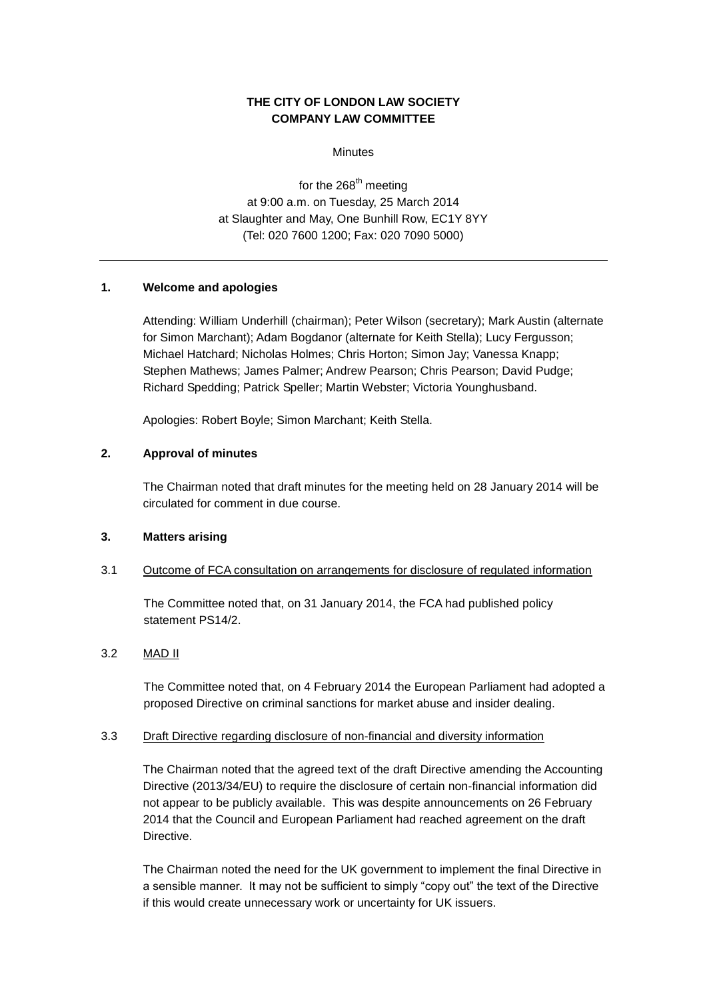# **THE CITY OF LONDON LAW SOCIETY COMPANY LAW COMMITTEE**

**Minutes** 

for the  $268^{\text{th}}$  meeting at 9:00 a.m. on Tuesday, 25 March 2014 at Slaughter and May, One Bunhill Row, EC1Y 8YY (Tel: 020 7600 1200; Fax: 020 7090 5000)

## **1. Welcome and apologies**

Attending: William Underhill (chairman); Peter Wilson (secretary); Mark Austin (alternate for Simon Marchant); Adam Bogdanor (alternate for Keith Stella); Lucy Fergusson; Michael Hatchard; Nicholas Holmes; Chris Horton; Simon Jay; Vanessa Knapp; Stephen Mathews; James Palmer; Andrew Pearson; Chris Pearson; David Pudge; Richard Spedding; Patrick Speller; Martin Webster; Victoria Younghusband.

Apologies: Robert Boyle; Simon Marchant; Keith Stella.

## **2. Approval of minutes**

The Chairman noted that draft minutes for the meeting held on 28 January 2014 will be circulated for comment in due course.

#### **3. Matters arising**

#### 3.1 Outcome of FCA consultation on arrangements for disclosure of regulated information

The Committee noted that, on 31 January 2014, the FCA had published policy statement PS14/2.

## 3.2 MAD II

The Committee noted that, on 4 February 2014 the European Parliament had adopted a proposed Directive on criminal sanctions for market abuse and insider dealing.

#### 3.3 Draft Directive regarding disclosure of non-financial and diversity information

The Chairman noted that the agreed text of the draft Directive amending the Accounting Directive (2013/34/EU) to require the disclosure of certain non-financial information did not appear to be publicly available. This was despite announcements on 26 February 2014 that the Council and European Parliament had reached agreement on the draft Directive.

The Chairman noted the need for the UK government to implement the final Directive in a sensible manner. It may not be sufficient to simply "copy out" the text of the Directive if this would create unnecessary work or uncertainty for UK issuers.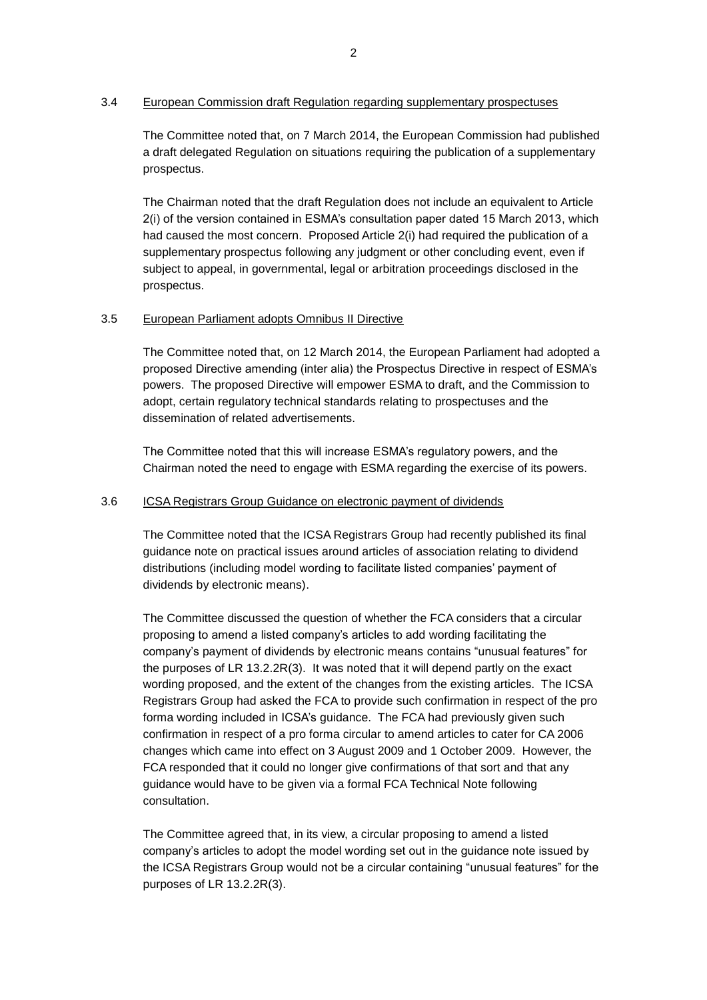## 3.4 European Commission draft Regulation regarding supplementary prospectuses

The Committee noted that, on 7 March 2014, the European Commission had published a draft delegated Regulation on situations requiring the publication of a supplementary prospectus.

The Chairman noted that the draft Regulation does not include an equivalent to Article 2(i) of the version contained in ESMA's consultation paper dated 15 March 2013, which had caused the most concern. Proposed Article 2(i) had required the publication of a supplementary prospectus following any judgment or other concluding event, even if subject to appeal, in governmental, legal or arbitration proceedings disclosed in the prospectus.

## 3.5 European Parliament adopts Omnibus II Directive

The Committee noted that, on 12 March 2014, the European Parliament had adopted a proposed Directive amending (inter alia) the Prospectus Directive in respect of ESMA's powers. The proposed Directive will empower ESMA to draft, and the Commission to adopt, certain regulatory technical standards relating to prospectuses and the dissemination of related advertisements.

The Committee noted that this will increase ESMA's regulatory powers, and the Chairman noted the need to engage with ESMA regarding the exercise of its powers.

### 3.6 ICSA Registrars Group Guidance on electronic payment of dividends

The Committee noted that the ICSA Registrars Group had recently published its final guidance note on practical issues around articles of association relating to dividend distributions (including model wording to facilitate listed companies' payment of dividends by electronic means).

The Committee discussed the question of whether the FCA considers that a circular proposing to amend a listed company's articles to add wording facilitating the company's payment of dividends by electronic means contains "unusual features" for the purposes of LR 13.2.2R(3). It was noted that it will depend partly on the exact wording proposed, and the extent of the changes from the existing articles. The ICSA Registrars Group had asked the FCA to provide such confirmation in respect of the pro forma wording included in ICSA's guidance. The FCA had previously given such confirmation in respect of a pro forma circular to amend articles to cater for CA 2006 changes which came into effect on 3 August 2009 and 1 October 2009. However, the FCA responded that it could no longer give confirmations of that sort and that any guidance would have to be given via a formal FCA Technical Note following consultation.

The Committee agreed that, in its view, a circular proposing to amend a listed company's articles to adopt the model wording set out in the guidance note issued by the ICSA Registrars Group would not be a circular containing "unusual features" for the purposes of LR 13.2.2R(3).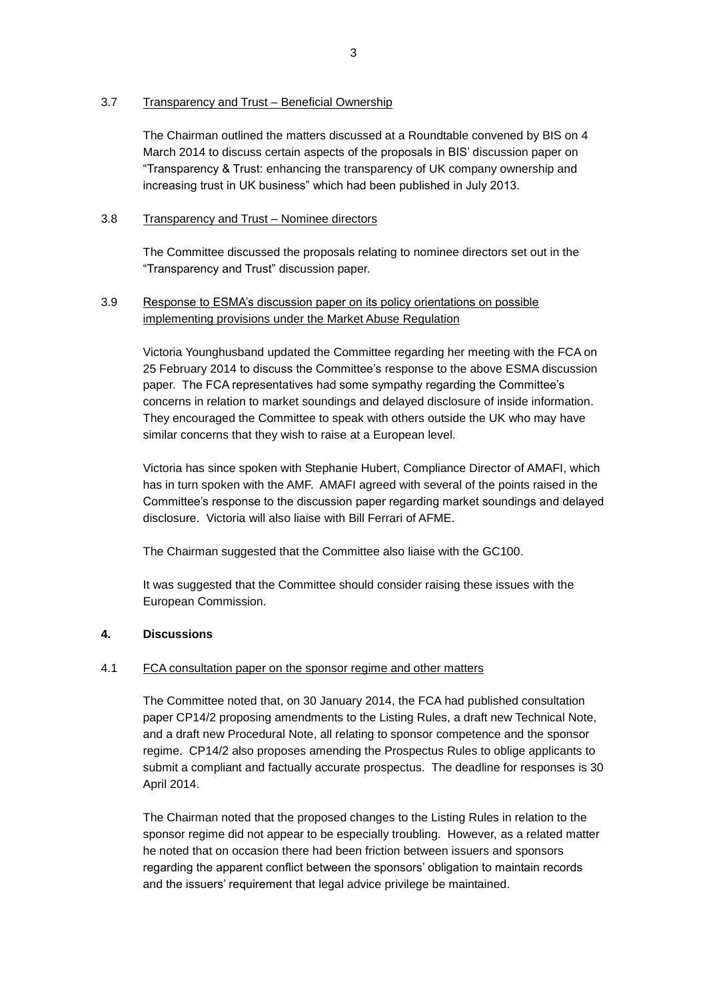## 3.7 Transparency and Trust – Beneficial Ownership

The Chairman outlined the matters discussed at a Roundtable convened by BIS on 4 March 2014 to discuss certain aspects of the proposals in BIS' discussion paper on "Transparency & Trust: enhancing the transparency of UK company ownership and increasing trust in UK business" which had been published in July 2013.

## 3.8 Transparency and Trust – Nominee directors

The Committee discussed the proposals relating to nominee directors set out in the "Transparency and Trust" discussion paper.

# 3.9 Response to ESMA's discussion paper on its policy orientations on possible implementing provisions under the Market Abuse Regulation

Victoria Younghusband updated the Committee regarding her meeting with the FCA on 25 February 2014 to discuss the Committee's response to the above ESMA discussion paper. The FCA representatives had some sympathy regarding the Committee's concerns in relation to market soundings and delayed disclosure of inside information. They encouraged the Committee to speak with others outside the UK who may have similar concerns that they wish to raise at a European level.

Victoria has since spoken with Stephanie Hubert, Compliance Director of AMAFI, which has in turn spoken with the AMF. AMAFI agreed with several of the points raised in the Committee's response to the discussion paper regarding market soundings and delayed disclosure. Victoria will also liaise with Bill Ferrari of AFME.

The Chairman suggested that the Committee also liaise with the GC100.

It was suggested that the Committee should consider raising these issues with the European Commission.

## **4. Discussions**

## 4.1 FCA consultation paper on the sponsor regime and other matters

The Committee noted that, on 30 January 2014, the FCA had published consultation paper CP14/2 proposing amendments to the Listing Rules, a draft new Technical Note, and a draft new Procedural Note, all relating to sponsor competence and the sponsor regime. CP14/2 also proposes amending the Prospectus Rules to oblige applicants to submit a compliant and factually accurate prospectus. The deadline for responses is 30 April 2014.

The Chairman noted that the proposed changes to the Listing Rules in relation to the sponsor regime did not appear to be especially troubling. However, as a related matter he noted that on occasion there had been friction between issuers and sponsors regarding the apparent conflict between the sponsors' obligation to maintain records and the issuers' requirement that legal advice privilege be maintained.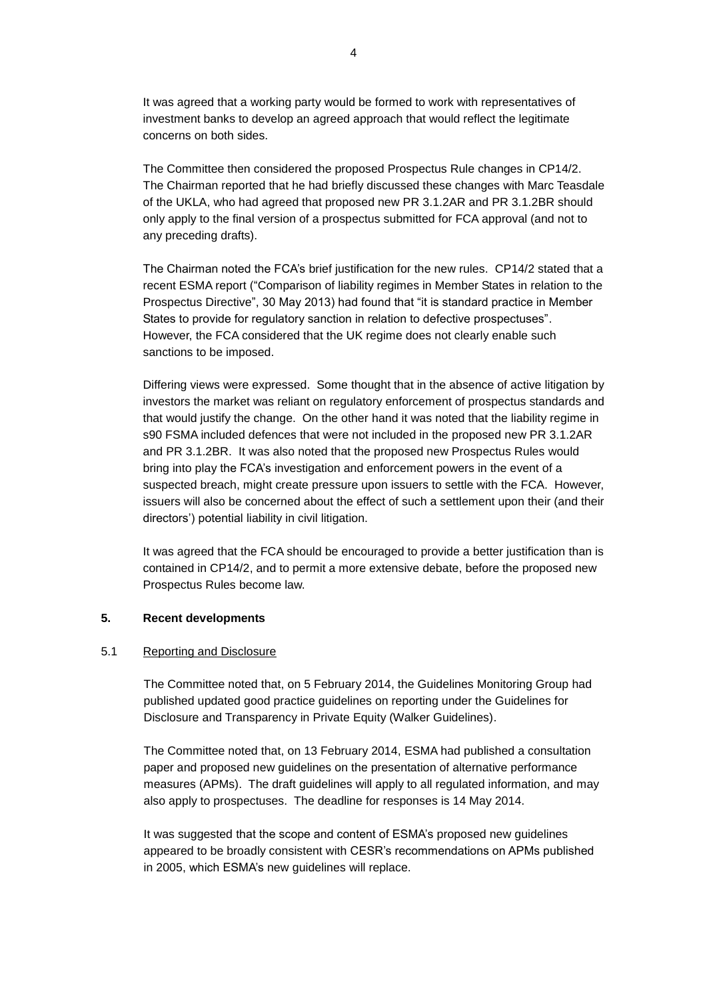It was agreed that a working party would be formed to work with representatives of investment banks to develop an agreed approach that would reflect the legitimate concerns on both sides.

The Committee then considered the proposed Prospectus Rule changes in CP14/2. The Chairman reported that he had briefly discussed these changes with Marc Teasdale of the UKLA, who had agreed that proposed new PR 3.1.2AR and PR 3.1.2BR should only apply to the final version of a prospectus submitted for FCA approval (and not to any preceding drafts).

The Chairman noted the FCA's brief justification for the new rules. CP14/2 stated that a recent ESMA report ("Comparison of liability regimes in Member States in relation to the Prospectus Directive", 30 May 2013) had found that "it is standard practice in Member States to provide for regulatory sanction in relation to defective prospectuses". However, the FCA considered that the UK regime does not clearly enable such sanctions to be imposed.

Differing views were expressed. Some thought that in the absence of active litigation by investors the market was reliant on regulatory enforcement of prospectus standards and that would justify the change. On the other hand it was noted that the liability regime in s90 FSMA included defences that were not included in the proposed new PR 3.1.2AR and PR 3.1.2BR. It was also noted that the proposed new Prospectus Rules would bring into play the FCA's investigation and enforcement powers in the event of a suspected breach, might create pressure upon issuers to settle with the FCA. However, issuers will also be concerned about the effect of such a settlement upon their (and their directors') potential liability in civil litigation.

It was agreed that the FCA should be encouraged to provide a better justification than is contained in CP14/2, and to permit a more extensive debate, before the proposed new Prospectus Rules become law.

## **5. Recent developments**

#### 5.1 Reporting and Disclosure

The Committee noted that, on 5 February 2014, the Guidelines Monitoring Group had published updated good practice guidelines on reporting under the Guidelines for Disclosure and Transparency in Private Equity (Walker Guidelines).

The Committee noted that, on 13 February 2014, ESMA had published a consultation paper and proposed new guidelines on the presentation of alternative performance measures (APMs). The draft guidelines will apply to all regulated information, and may also apply to prospectuses. The deadline for responses is 14 May 2014.

It was suggested that the scope and content of ESMA's proposed new guidelines appeared to be broadly consistent with CESR's recommendations on APMs published in 2005, which ESMA's new guidelines will replace.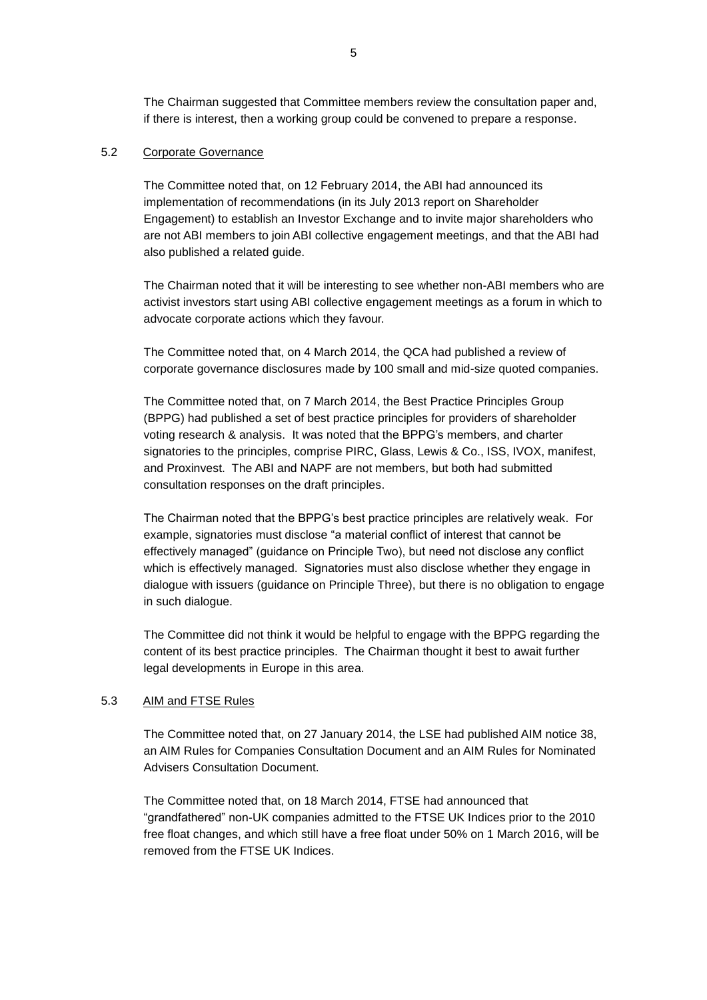The Chairman suggested that Committee members review the consultation paper and, if there is interest, then a working group could be convened to prepare a response.

## 5.2 Corporate Governance

The Committee noted that, on 12 February 2014, the ABI had announced its implementation of recommendations (in its July 2013 report on Shareholder Engagement) to establish an Investor Exchange and to invite major shareholders who are not ABI members to join ABI collective engagement meetings, and that the ABI had also published a related guide.

The Chairman noted that it will be interesting to see whether non-ABI members who are activist investors start using ABI collective engagement meetings as a forum in which to advocate corporate actions which they favour.

The Committee noted that, on 4 March 2014, the QCA had published a review of corporate governance disclosures made by 100 small and mid-size quoted companies.

The Committee noted that, on 7 March 2014, the Best Practice Principles Group (BPPG) had published a set of best practice principles for providers of shareholder voting research & analysis. It was noted that the BPPG's members, and charter signatories to the principles, comprise PIRC, Glass, Lewis & Co., ISS, IVOX, manifest, and Proxinvest. The ABI and NAPF are not members, but both had submitted consultation responses on the draft principles.

The Chairman noted that the BPPG's best practice principles are relatively weak. For example, signatories must disclose "a material conflict of interest that cannot be effectively managed" (guidance on Principle Two), but need not disclose any conflict which is effectively managed. Signatories must also disclose whether they engage in dialogue with issuers (guidance on Principle Three), but there is no obligation to engage in such dialogue.

The Committee did not think it would be helpful to engage with the BPPG regarding the content of its best practice principles. The Chairman thought it best to await further legal developments in Europe in this area.

## 5.3 AIM and FTSE Rules

The Committee noted that, on 27 January 2014, the LSE had published AIM notice 38, an AIM Rules for Companies Consultation Document and an AIM Rules for Nominated Advisers Consultation Document.

The Committee noted that, on 18 March 2014, FTSE had announced that "grandfathered" non-UK companies admitted to the FTSE UK Indices prior to the 2010 free float changes, and which still have a free float under 50% on 1 March 2016, will be removed from the FTSE UK Indices.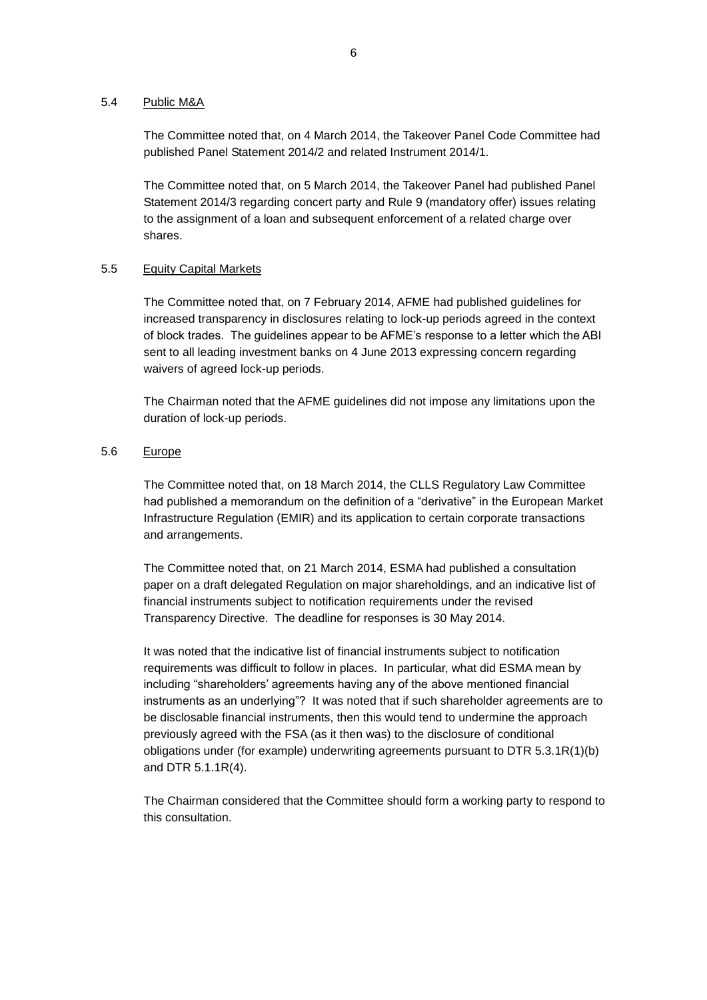#### 5.4 Public M&A

The Committee noted that, on 4 March 2014, the Takeover Panel Code Committee had published Panel Statement 2014/2 and related Instrument 2014/1.

The Committee noted that, on 5 March 2014, the Takeover Panel had published Panel Statement 2014/3 regarding concert party and Rule 9 (mandatory offer) issues relating to the assignment of a loan and subsequent enforcement of a related charge over shares.

## 5.5 Equity Capital Markets

The Committee noted that, on 7 February 2014, AFME had published guidelines for increased transparency in disclosures relating to lock-up periods agreed in the context of block trades. The guidelines appear to be AFME's response to a letter which the ABI sent to all leading investment banks on 4 June 2013 expressing concern regarding waivers of agreed lock-up periods.

The Chairman noted that the AFME guidelines did not impose any limitations upon the duration of lock-up periods.

# 5.6 Europe

The Committee noted that, on 18 March 2014, the CLLS Regulatory Law Committee had published a memorandum on the definition of a "derivative" in the European Market Infrastructure Regulation (EMIR) and its application to certain corporate transactions and arrangements.

The Committee noted that, on 21 March 2014, ESMA had published a consultation paper on a draft delegated Regulation on major shareholdings, and an indicative list of financial instruments subject to notification requirements under the revised Transparency Directive. The deadline for responses is 30 May 2014.

It was noted that the indicative list of financial instruments subject to notification requirements was difficult to follow in places. In particular, what did ESMA mean by including "shareholders' agreements having any of the above mentioned financial instruments as an underlying"? It was noted that if such shareholder agreements are to be disclosable financial instruments, then this would tend to undermine the approach previously agreed with the FSA (as it then was) to the disclosure of conditional obligations under (for example) underwriting agreements pursuant to DTR 5.3.1R(1)(b) and DTR 5.1.1R(4).

The Chairman considered that the Committee should form a working party to respond to this consultation.